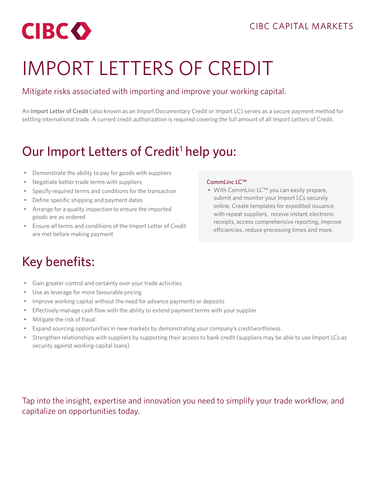<span id="page-0-0"></span>

# IMPORT LETTERS OF CREDIT

### Mitigate risks associated with importing and improve your working capital.

An Import Letter of Credit (also known as an Import Documentary Credit or Import LC) serves as a secure payment method for settling international trade. A current credit authorization is required covering the full amount of all Import Letters of Credit.

### Our Import Letters of Credit<sup>1</sup> help you:

- Demonstrate the ability to pay for goods with suppliers
- Negotiate better trade terms with suppliers
- Specify required terms and conditions for the transaction
- Define specific shipping and payment dates
- Arrange for a quality inspection to ensure the imported goods are as ordered
- Ensure all terms and conditions of the Import Letter of Credit are met before making payment

#### CommLinc LC™

• With CommLinc LC™ you can easily prepare, submit and monitor your Import LCs securely online. Create templates for expedited issuance with repeat suppliers, receive instant electronic receipts, access comprehensive reporting, improve efficiencies, reduce processing times and more.

### Key benefits:

- Gain greater control and certainty over your trade activities
- Use as leverage for more favourable pricing
- Improve working capital without the need for advance payments or deposits
- Effectively manage cash flow with the ability to extend payment terms with your supplier
- Mitigate the risk of fraud
- Expand sourcing opportunities in new markets by demonstrating your company's creditworthiness
- Strengthen relationships with suppliers by supporting their access to bank credit (suppliers may be able to use Import LCs as security against working capital loans)

Tap into the insight, expertise and innovation you need to simplify your trade workflow, and capitalize on opportunities today.